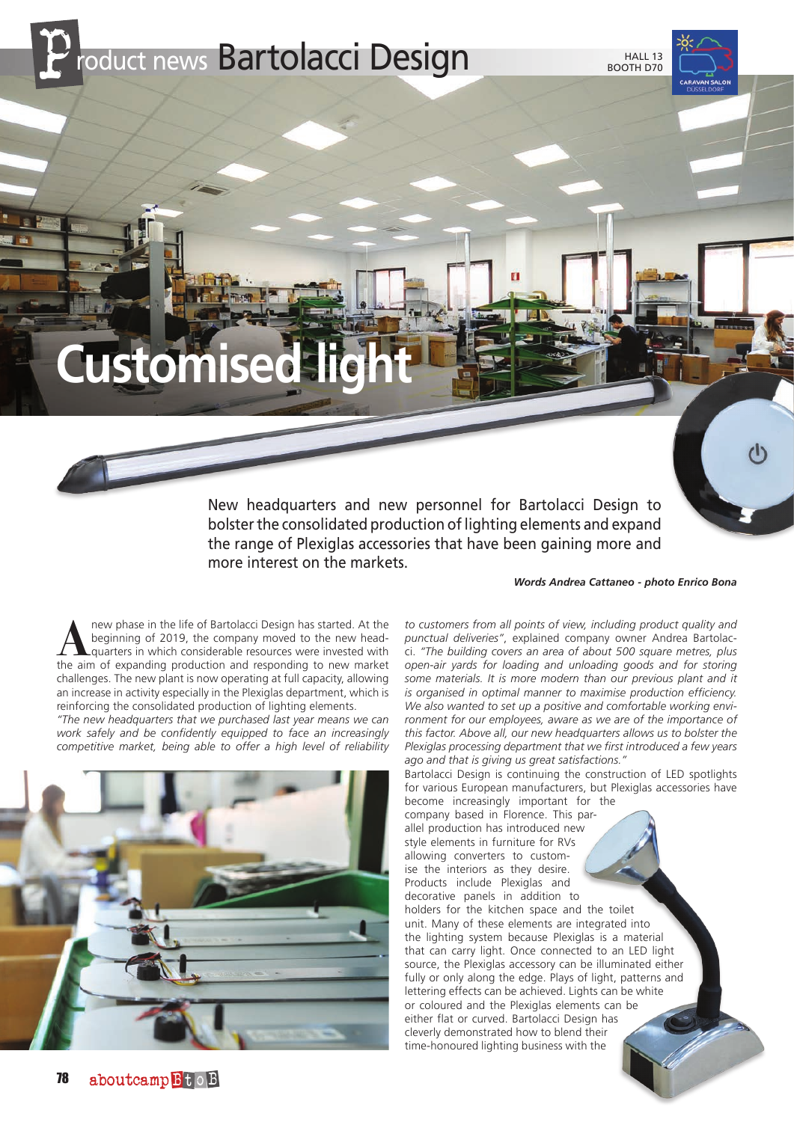roduct news Bartolacci Design

## **Customised**

New headquarters and new personnel for Bartolacci Design to bolster the consolidated production of lighting elements and expand the range of Plexiglas accessories that have been gaining more and more interest on the markets.

*Words Andrea Cattaneo - photo Enrico Bona*

**A** new phase in the life of Bartolacci Design has started. At the beginning of 2019, the company moved to the new head-<br>quarters in which considerable resources were invested with<br>the aim of expanding production and respo beginning of 2019, the company moved to the new headquarters in which considerable resources were invested with the aim of expanding production and responding to new market challenges. The new plant is now operating at full capacity, allowing an increase in activity especially in the Plexiglas department, which is reinforcing the consolidated production of lighting elements.

*"The new headquarters that we purchased last year means we can work safely and be confidently equipped to face an increasingly competitive market, being able to offer a high level of reliability* 



*to customers from all points of view, including product quality and punctual deliveries"*, explained company owner Andrea Bartolacci. *"The building covers an area of about 500 square metres, plus open-air yards for loading and unloading goods and for storing some materials. It is more modern than our previous plant and it is organised in optimal manner to maximise production efficiency. We also wanted to set up a positive and comfortable working environment for our employees, aware as we are of the importance of this factor. Above all, our new headquarters allows us to bolster the Plexiglas processing department that we first introduced a few years ago and that is giving us great satisfactions."*

Bartolacci Design is continuing the construction of LED spotlights for various European manufacturers, but Plexiglas accessories have become increasingly important for the

company based in Florence. This parallel production has introduced new style elements in furniture for RVs allowing converters to customise the interiors as they desire. Products include Plexiglas and decorative panels in addition to holders for the kitchen space and the toilet unit. Many of these elements are integrated into the lighting system because Plexiglas is a material that can carry light. Once connected to an LED light source, the Plexiglas accessory can be illuminated either fully or only along the edge. Plays of light, patterns and lettering effects can be achieved. Lights can be white or coloured and the Plexiglas elements can be either flat or curved. Bartolacci Design has cleverly demonstrated how to blend their time-honoured lighting business with the